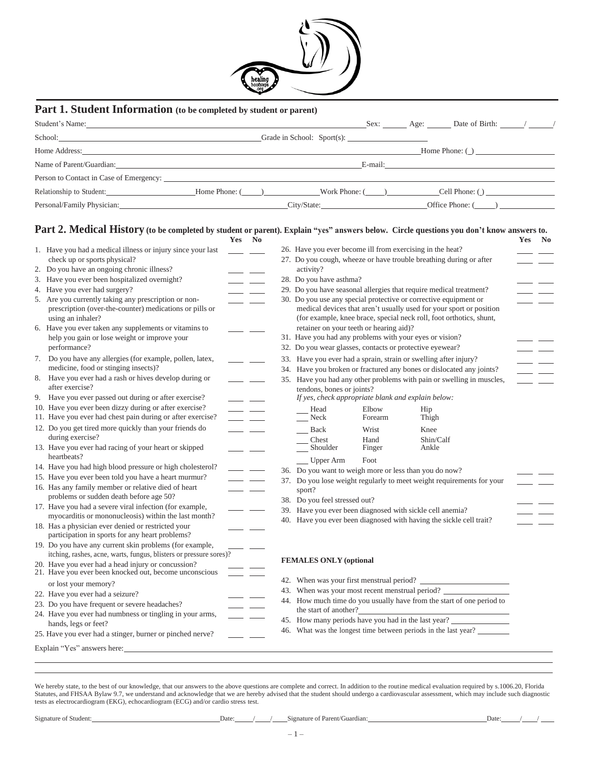

# **Part 1. Student Information (to be completed by student or parent)**

| Student's Name: Name: Name: Name: Name: Name: Name: Name: Name: Name: Name: Name: Name: Name: Name: Name: Name: Name: Name: Name: Name: Name: Name: Name: Name: Name: Name: Name: Name: Name: Name: Name: Name: Name: Name: Na |                               |                              |  | Sex: Age: Date of Birth: / / |  |
|--------------------------------------------------------------------------------------------------------------------------------------------------------------------------------------------------------------------------------|-------------------------------|------------------------------|--|------------------------------|--|
|                                                                                                                                                                                                                                |                               | Grade in School: $Spot(s)$ : |  |                              |  |
| Home Address: The Second Second Second Second Second Second Second Second Second Second Second Second Second Second Second Second Second Second Second Second Second Second Second Second Second Second Second Second Second S |                               |                              |  | Home Phone: ()               |  |
| Name of Parent/Guardian:                                                                                                                                                                                                       |                               |                              |  |                              |  |
| Person to Contact in Case of Emergency:                                                                                                                                                                                        |                               |                              |  |                              |  |
| Relationship to Student:                                                                                                                                                                                                       | Home Phone: () Work Phone: () |                              |  | Cell Phone: ()               |  |
|                                                                                                                                                                                                                                |                               | City/State:                  |  | Office Phone: ()             |  |

### Part 2. Medical History (to be completed by student or parent). Explain "yes" answers below. Circle questions you don't know answers to.

|                                                       |                                                                                                                               | Yes No               |                                                                                                                                                                                                                                      |                                                                                                                                            |                                                          |                  |                                                                      | Yes | N <sub>0</sub> |
|-------------------------------------------------------|-------------------------------------------------------------------------------------------------------------------------------|----------------------|--------------------------------------------------------------------------------------------------------------------------------------------------------------------------------------------------------------------------------------|--------------------------------------------------------------------------------------------------------------------------------------------|----------------------------------------------------------|------------------|----------------------------------------------------------------------|-----|----------------|
|                                                       | 1. Have you had a medical illness or injury since your last                                                                   |                      |                                                                                                                                                                                                                                      |                                                                                                                                            |                                                          |                  | 26. Have you ever become ill from exercising in the heat?            |     |                |
|                                                       | check up or sports physical?                                                                                                  |                      |                                                                                                                                                                                                                                      | 27. Do you cough, wheeze or have trouble breathing during or after                                                                         |                                                          |                  |                                                                      |     |                |
|                                                       | 2. Do you have an ongoing chronic illness?                                                                                    |                      | <u>and the second part of the second part of the second part of the second part of the second part of the second part of the second part of the second part of the second part of the second part of the second part of the seco</u> | activity?                                                                                                                                  |                                                          |                  |                                                                      |     |                |
|                                                       | 3. Have you ever been hospitalized overnight?                                                                                 |                      | <u>and the state</u>                                                                                                                                                                                                                 | 28. Do you have asthma?                                                                                                                    |                                                          |                  |                                                                      |     |                |
|                                                       | 4. Have you ever had surgery?                                                                                                 |                      | <u> a serie de la provincia de la provincia de la provincia de la provincia de la provincia de la provincia de la</u>                                                                                                                | 29. Do you have seasonal allergies that require medical treatment?                                                                         |                                                          |                  |                                                                      |     |                |
|                                                       | 5. Are you currently taking any prescription or non-                                                                          |                      | <u>and the state</u>                                                                                                                                                                                                                 | 30. Do you use any special protective or corrective equipment or                                                                           |                                                          |                  |                                                                      |     |                |
|                                                       | prescription (over-the-counter) medications or pills or<br>using an inhaler?                                                  |                      |                                                                                                                                                                                                                                      | medical devices that aren't usually used for your sport or position<br>(for example, knee brace, special neck roll, foot orthotics, shunt, |                                                          |                  |                                                                      |     |                |
| 6. Have you ever taken any supplements or vitamins to |                                                                                                                               |                      |                                                                                                                                                                                                                                      |                                                                                                                                            | retainer on your teeth or hearing aid)?                  |                  |                                                                      |     |                |
|                                                       | help you gain or lose weight or improve your                                                                                  |                      |                                                                                                                                                                                                                                      |                                                                                                                                            | 31. Have you had any problems with your eyes or vision?  |                  |                                                                      |     |                |
|                                                       | performance?                                                                                                                  |                      |                                                                                                                                                                                                                                      |                                                                                                                                            | 32. Do you wear glasses, contacts or protective eyewear? |                  |                                                                      |     |                |
|                                                       | 7. Do you have any allergies (for example, pollen, latex,                                                                     |                      | <u>and a shear</u>                                                                                                                                                                                                                   |                                                                                                                                            |                                                          |                  | 33. Have you ever had a sprain, strain or swelling after injury?     |     |                |
|                                                       | medicine, food or stinging insects)?                                                                                          |                      |                                                                                                                                                                                                                                      |                                                                                                                                            |                                                          |                  | 34. Have you broken or fractured any bones or dislocated any joints? |     |                |
|                                                       | 8. Have you ever had a rash or hives develop during or<br>after exercise?                                                     |                      | <u>and the community of the community of the community of the community of the community of the community of the community of the community of the community of the community of the community of the community of the community</u> | 35. Have you had any other problems with pain or swelling in muscles,<br>tendons, bones or joints?                                         |                                                          |                  |                                                                      |     |                |
|                                                       | 9. Have you ever passed out during or after exercise?                                                                         | <u>and the state</u> |                                                                                                                                                                                                                                      |                                                                                                                                            | If yes, check appropriate blank and explain below:       |                  |                                                                      |     |                |
|                                                       | 10. Have you ever been dizzy during or after exercise?<br>11. Have you ever had chest pain during or after exercise?          |                      | <u>and the state</u>                                                                                                                                                                                                                 |                                                                                                                                            | Head<br>Neck                                             | Elbow<br>Forearm | Hip<br>Thigh                                                         |     |                |
|                                                       | 12. Do you get tired more quickly than your friends do                                                                        |                      |                                                                                                                                                                                                                                      |                                                                                                                                            | Back                                                     | Wrist            | Knee                                                                 |     |                |
|                                                       | during exercise?                                                                                                              |                      |                                                                                                                                                                                                                                      |                                                                                                                                            | Chest                                                    | Hand             | Shin/Calf                                                            |     |                |
|                                                       | 13. Have you ever had racing of your heart or skipped                                                                         |                      |                                                                                                                                                                                                                                      |                                                                                                                                            | Shoulder                                                 | Finger           | Ankle                                                                |     |                |
|                                                       | heartbeats?                                                                                                                   |                      |                                                                                                                                                                                                                                      |                                                                                                                                            | $\frac{1}{2}$ Upper Arm                                  | Foot             |                                                                      |     |                |
|                                                       | 14. Have you had high blood pressure or high cholesterol?                                                                     | - -                  |                                                                                                                                                                                                                                      |                                                                                                                                            |                                                          |                  | 36. Do you want to weigh more or less than you do now?               |     |                |
|                                                       | 15. Have you ever been told you have a heart murmur?                                                                          |                      | and the company                                                                                                                                                                                                                      | 37. Do you lose weight regularly to meet weight requirements for your                                                                      |                                                          |                  |                                                                      |     |                |
|                                                       | 16. Has any family member or relative died of heart                                                                           |                      |                                                                                                                                                                                                                                      |                                                                                                                                            | sport?                                                   |                  |                                                                      |     |                |
|                                                       | problems or sudden death before age 50?                                                                                       |                      |                                                                                                                                                                                                                                      |                                                                                                                                            | 38. Do you feel stressed out?                            |                  |                                                                      |     |                |
|                                                       | 17. Have you had a severe viral infection (for example,                                                                       |                      |                                                                                                                                                                                                                                      | 39. Have you ever been diagnosed with sickle cell anemia?                                                                                  |                                                          |                  |                                                                      |     |                |
|                                                       | myocarditis or mononucleosis) within the last month?                                                                          |                      |                                                                                                                                                                                                                                      |                                                                                                                                            |                                                          |                  | 40. Have you ever been diagnosed with having the sickle cell trait?  |     |                |
|                                                       | 18. Has a physician ever denied or restricted your<br>participation in sports for any heart problems?                         |                      |                                                                                                                                                                                                                                      |                                                                                                                                            |                                                          |                  |                                                                      |     |                |
|                                                       | 19. Do you have any current skin problems (for example,<br>itching, rashes, acne, warts, fungus, blisters or pressure sores)? |                      |                                                                                                                                                                                                                                      |                                                                                                                                            |                                                          |                  |                                                                      |     |                |
|                                                       | 20. Have you ever had a head injury or concussion?<br>21. Have you ever been knocked out, become unconscious                  |                      |                                                                                                                                                                                                                                      |                                                                                                                                            | <b>FEMALES ONLY (optional</b>                            |                  |                                                                      |     |                |
|                                                       | or lost your memory?                                                                                                          |                      |                                                                                                                                                                                                                                      |                                                                                                                                            |                                                          |                  |                                                                      |     |                |
|                                                       | 22. Have you ever had a seizure?                                                                                              |                      |                                                                                                                                                                                                                                      | 43. When was your most recent menstrual period? _________________________________                                                          |                                                          |                  |                                                                      |     |                |
|                                                       | 23. Do you have frequent or severe headaches?                                                                                 |                      |                                                                                                                                                                                                                                      | 44. How much time do you usually have from the start of one period to                                                                      |                                                          |                  |                                                                      |     |                |
|                                                       | 24. Have you ever had numbness or tingling in your arms,                                                                      |                      |                                                                                                                                                                                                                                      |                                                                                                                                            | the start of another?                                    |                  |                                                                      |     |                |
|                                                       | hands, legs or feet?                                                                                                          |                      |                                                                                                                                                                                                                                      |                                                                                                                                            |                                                          |                  | 45. How many periods have you had in the last year?                  |     |                |
|                                                       | 25. Have you ever had a stinger, burner or pinched nerve?                                                                     |                      |                                                                                                                                                                                                                                      |                                                                                                                                            |                                                          |                  | 46. What was the longest time between periods in the last year?      |     |                |
|                                                       | Explain "Yes" answers here:                                                                                                   |                      |                                                                                                                                                                                                                                      |                                                                                                                                            |                                                          |                  |                                                                      |     |                |
|                                                       |                                                                                                                               |                      |                                                                                                                                                                                                                                      |                                                                                                                                            |                                                          |                  |                                                                      |     |                |

We hereby state, to the best of our knowledge, that our answers to the above questions are complete and correct. In addition to the routine medical evaluation required by s.1006.20, Florida Statutes, and FHSAA Bylaw 9.7, we understand and acknowledge that we are hereby advised that the student should undergo a cardiovascular assessment, which may include such diagnostic tests as electrocardiogram (EKG), echocardiogram (ECG) and/or cardio stress test.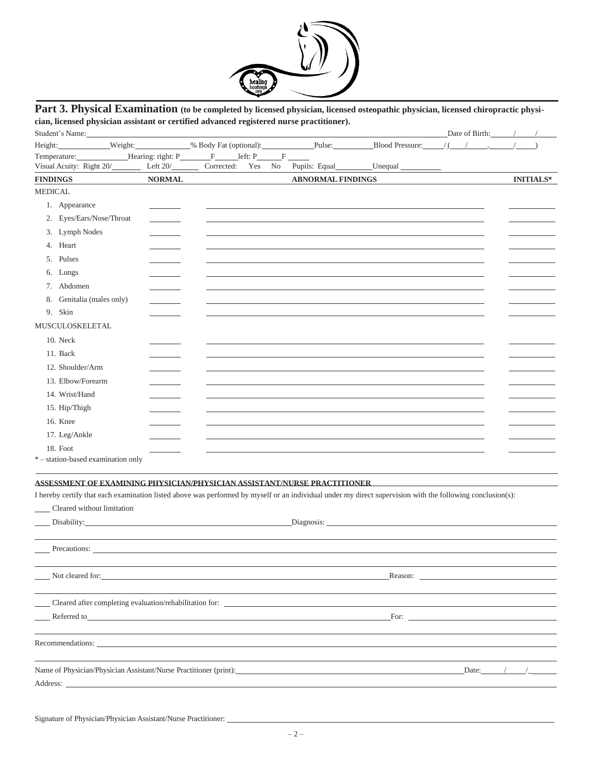

## Part 3. Physical Examination (to be completed by licensed physician, licensed osteopathic physician, licensed chiropractic physi**cian, licensed physician assistant or certified advanced registered nurse practitioner).**

| Height: Weight: Weight: Weight: Weight: Weight: Weight: Weight: Weight: Weight: Weight: Weight: Weight: Weight: Weight: Weight: Weight: Weight: Weight: Weight: Weight: Weight: Weight: Weight: Weight: Weight: Weight: Weight<br>$\Gamma$<br>$let: P_$<br>$\mathbf{F}$<br>Temperature: Hearing: right: P<br>Visual Acuity: Right 20/___________ Left 20/________<br>Corrected:<br>Yes<br>Pupils: Equal<br>$L$ Unequal $L$<br>No<br><b>FINDINGS</b><br><b>NORMAL</b><br><b>ABNORMAL FINDINGS</b><br><b>INITIALS*</b><br><b>MEDICAL</b><br>1. Appearance<br>2. Eyes/Ears/Nose/Throat<br>3. Lymph Nodes<br>4. Heart<br>5. Pulses<br>6. Lungs<br>7. Abdomen<br>8. Genitalia (males only)<br><b>Contract Contract</b><br>9. Skin<br>MUSCULOSKELETAL<br>10. Neck<br>11. Back<br>12. Shoulder/Arm<br>13. Elbow/Forearm<br>14. Wrist/Hand<br>15. Hip/Thigh<br>16. Knee<br>17. Leg/Ankle<br>18. Foot<br>*-station-based examination only<br>ASSESSMENT OF EXAMINING PHYSICIAN/PHYSICIAN ASSISTANT/NURSE PRACTITIONER<br>I hereby certify that each examination listed above was performed by myself or an individual under my direct supervision with the following conclusion(s):<br>Cleared without limitation<br>Disability: 2000 and 2000 and 2000 and 2000 and 2000 and 2000 and 2000 and 2000 and 2000 and 2000 and 2000 and 2000 and 2000 and 2000 and 2000 and 2000 and 2000 and 2000 and 2000 and 2000 and 2000 and 2000 and 2000 and 200<br>Precautions: | Student's Name:  |  |         | Date of Birth: $\frac{1}{2}$ |  |
|------------------------------------------------------------------------------------------------------------------------------------------------------------------------------------------------------------------------------------------------------------------------------------------------------------------------------------------------------------------------------------------------------------------------------------------------------------------------------------------------------------------------------------------------------------------------------------------------------------------------------------------------------------------------------------------------------------------------------------------------------------------------------------------------------------------------------------------------------------------------------------------------------------------------------------------------------------------------------------------------------------------------------------------------------------------------------------------------------------------------------------------------------------------------------------------------------------------------------------------------------------------------------------------------------------------------------------------------------------------------------------------------------------------------------------------------------------|------------------|--|---------|------------------------------|--|
|                                                                                                                                                                                                                                                                                                                                                                                                                                                                                                                                                                                                                                                                                                                                                                                                                                                                                                                                                                                                                                                                                                                                                                                                                                                                                                                                                                                                                                                            |                  |  |         |                              |  |
|                                                                                                                                                                                                                                                                                                                                                                                                                                                                                                                                                                                                                                                                                                                                                                                                                                                                                                                                                                                                                                                                                                                                                                                                                                                                                                                                                                                                                                                            |                  |  |         |                              |  |
|                                                                                                                                                                                                                                                                                                                                                                                                                                                                                                                                                                                                                                                                                                                                                                                                                                                                                                                                                                                                                                                                                                                                                                                                                                                                                                                                                                                                                                                            |                  |  |         |                              |  |
|                                                                                                                                                                                                                                                                                                                                                                                                                                                                                                                                                                                                                                                                                                                                                                                                                                                                                                                                                                                                                                                                                                                                                                                                                                                                                                                                                                                                                                                            |                  |  |         |                              |  |
|                                                                                                                                                                                                                                                                                                                                                                                                                                                                                                                                                                                                                                                                                                                                                                                                                                                                                                                                                                                                                                                                                                                                                                                                                                                                                                                                                                                                                                                            |                  |  |         |                              |  |
|                                                                                                                                                                                                                                                                                                                                                                                                                                                                                                                                                                                                                                                                                                                                                                                                                                                                                                                                                                                                                                                                                                                                                                                                                                                                                                                                                                                                                                                            |                  |  |         |                              |  |
|                                                                                                                                                                                                                                                                                                                                                                                                                                                                                                                                                                                                                                                                                                                                                                                                                                                                                                                                                                                                                                                                                                                                                                                                                                                                                                                                                                                                                                                            |                  |  |         |                              |  |
|                                                                                                                                                                                                                                                                                                                                                                                                                                                                                                                                                                                                                                                                                                                                                                                                                                                                                                                                                                                                                                                                                                                                                                                                                                                                                                                                                                                                                                                            |                  |  |         |                              |  |
|                                                                                                                                                                                                                                                                                                                                                                                                                                                                                                                                                                                                                                                                                                                                                                                                                                                                                                                                                                                                                                                                                                                                                                                                                                                                                                                                                                                                                                                            |                  |  |         |                              |  |
|                                                                                                                                                                                                                                                                                                                                                                                                                                                                                                                                                                                                                                                                                                                                                                                                                                                                                                                                                                                                                                                                                                                                                                                                                                                                                                                                                                                                                                                            |                  |  |         |                              |  |
|                                                                                                                                                                                                                                                                                                                                                                                                                                                                                                                                                                                                                                                                                                                                                                                                                                                                                                                                                                                                                                                                                                                                                                                                                                                                                                                                                                                                                                                            |                  |  |         |                              |  |
|                                                                                                                                                                                                                                                                                                                                                                                                                                                                                                                                                                                                                                                                                                                                                                                                                                                                                                                                                                                                                                                                                                                                                                                                                                                                                                                                                                                                                                                            |                  |  |         |                              |  |
|                                                                                                                                                                                                                                                                                                                                                                                                                                                                                                                                                                                                                                                                                                                                                                                                                                                                                                                                                                                                                                                                                                                                                                                                                                                                                                                                                                                                                                                            |                  |  |         |                              |  |
|                                                                                                                                                                                                                                                                                                                                                                                                                                                                                                                                                                                                                                                                                                                                                                                                                                                                                                                                                                                                                                                                                                                                                                                                                                                                                                                                                                                                                                                            |                  |  |         |                              |  |
|                                                                                                                                                                                                                                                                                                                                                                                                                                                                                                                                                                                                                                                                                                                                                                                                                                                                                                                                                                                                                                                                                                                                                                                                                                                                                                                                                                                                                                                            |                  |  |         |                              |  |
|                                                                                                                                                                                                                                                                                                                                                                                                                                                                                                                                                                                                                                                                                                                                                                                                                                                                                                                                                                                                                                                                                                                                                                                                                                                                                                                                                                                                                                                            |                  |  |         |                              |  |
|                                                                                                                                                                                                                                                                                                                                                                                                                                                                                                                                                                                                                                                                                                                                                                                                                                                                                                                                                                                                                                                                                                                                                                                                                                                                                                                                                                                                                                                            |                  |  |         |                              |  |
|                                                                                                                                                                                                                                                                                                                                                                                                                                                                                                                                                                                                                                                                                                                                                                                                                                                                                                                                                                                                                                                                                                                                                                                                                                                                                                                                                                                                                                                            |                  |  |         |                              |  |
|                                                                                                                                                                                                                                                                                                                                                                                                                                                                                                                                                                                                                                                                                                                                                                                                                                                                                                                                                                                                                                                                                                                                                                                                                                                                                                                                                                                                                                                            |                  |  |         |                              |  |
|                                                                                                                                                                                                                                                                                                                                                                                                                                                                                                                                                                                                                                                                                                                                                                                                                                                                                                                                                                                                                                                                                                                                                                                                                                                                                                                                                                                                                                                            |                  |  |         |                              |  |
|                                                                                                                                                                                                                                                                                                                                                                                                                                                                                                                                                                                                                                                                                                                                                                                                                                                                                                                                                                                                                                                                                                                                                                                                                                                                                                                                                                                                                                                            |                  |  |         |                              |  |
|                                                                                                                                                                                                                                                                                                                                                                                                                                                                                                                                                                                                                                                                                                                                                                                                                                                                                                                                                                                                                                                                                                                                                                                                                                                                                                                                                                                                                                                            |                  |  |         |                              |  |
|                                                                                                                                                                                                                                                                                                                                                                                                                                                                                                                                                                                                                                                                                                                                                                                                                                                                                                                                                                                                                                                                                                                                                                                                                                                                                                                                                                                                                                                            |                  |  |         |                              |  |
|                                                                                                                                                                                                                                                                                                                                                                                                                                                                                                                                                                                                                                                                                                                                                                                                                                                                                                                                                                                                                                                                                                                                                                                                                                                                                                                                                                                                                                                            |                  |  |         |                              |  |
|                                                                                                                                                                                                                                                                                                                                                                                                                                                                                                                                                                                                                                                                                                                                                                                                                                                                                                                                                                                                                                                                                                                                                                                                                                                                                                                                                                                                                                                            |                  |  |         |                              |  |
|                                                                                                                                                                                                                                                                                                                                                                                                                                                                                                                                                                                                                                                                                                                                                                                                                                                                                                                                                                                                                                                                                                                                                                                                                                                                                                                                                                                                                                                            |                  |  |         |                              |  |
|                                                                                                                                                                                                                                                                                                                                                                                                                                                                                                                                                                                                                                                                                                                                                                                                                                                                                                                                                                                                                                                                                                                                                                                                                                                                                                                                                                                                                                                            |                  |  |         |                              |  |
|                                                                                                                                                                                                                                                                                                                                                                                                                                                                                                                                                                                                                                                                                                                                                                                                                                                                                                                                                                                                                                                                                                                                                                                                                                                                                                                                                                                                                                                            |                  |  |         |                              |  |
|                                                                                                                                                                                                                                                                                                                                                                                                                                                                                                                                                                                                                                                                                                                                                                                                                                                                                                                                                                                                                                                                                                                                                                                                                                                                                                                                                                                                                                                            |                  |  |         |                              |  |
|                                                                                                                                                                                                                                                                                                                                                                                                                                                                                                                                                                                                                                                                                                                                                                                                                                                                                                                                                                                                                                                                                                                                                                                                                                                                                                                                                                                                                                                            |                  |  |         |                              |  |
|                                                                                                                                                                                                                                                                                                                                                                                                                                                                                                                                                                                                                                                                                                                                                                                                                                                                                                                                                                                                                                                                                                                                                                                                                                                                                                                                                                                                                                                            | Not cleared for: |  | Reason: |                              |  |

Cleared after completing evaluation/rehabilitation for: Referred to For: Recommendations:

Name of Physician/Physician Assistant/Nurse Practitioner (print): Date: Date: / /\_/ Address: